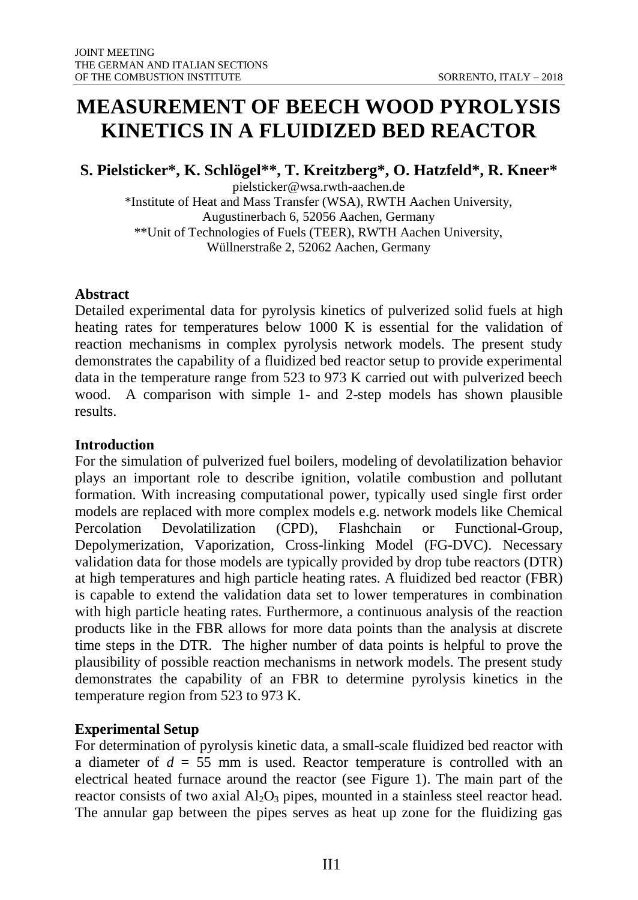# **MEASUREMENT OF BEECH WOOD PYROLYSIS KINETICS IN A FLUIDIZED BED REACTOR**

**S. Pielsticker\*, K. Schlögel\*\*, T. Kreitzberg\*, O. Hatzfeld\*, R. Kneer\***

pielsticker@wsa.rwth-aachen.de \*Institute of Heat and Mass Transfer (WSA), RWTH Aachen University, Augustinerbach 6, 52056 Aachen, Germany \*\*Unit of Technologies of Fuels (TEER), RWTH Aachen University, Wüllnerstraße 2, 52062 Aachen, Germany

## **Abstract**

Detailed experimental data for pyrolysis kinetics of pulverized solid fuels at high heating rates for temperatures below 1000 K is essential for the validation of reaction mechanisms in complex pyrolysis network models. The present study demonstrates the capability of a fluidized bed reactor setup to provide experimental data in the temperature range from 523 to 973 K carried out with pulverized beech wood. A comparison with simple 1- and 2-step models has shown plausible results.

### **Introduction**

For the simulation of pulverized fuel boilers, modeling of devolatilization behavior plays an important role to describe ignition, volatile combustion and pollutant formation. With increasing computational power, typically used single first order models are replaced with more complex models e.g. network models like Chemical Percolation Devolatilization (CPD), Flashchain or Functional-Group, Depolymerization, Vaporization, Cross-linking Model (FG-DVC). Necessary validation data for those models are typically provided by drop tube reactors (DTR) at high temperatures and high particle heating rates. A fluidized bed reactor (FBR) is capable to extend the validation data set to lower temperatures in combination with high particle heating rates. Furthermore, a continuous analysis of the reaction products like in the FBR allows for more data points than the analysis at discrete time steps in the DTR. The higher number of data points is helpful to prove the plausibility of possible reaction mechanisms in network models. The present study demonstrates the capability of an FBR to determine pyrolysis kinetics in the temperature region from 523 to 973 K.

## **Experimental Setup**

For determination of pyrolysis kinetic data, a small-scale fluidized bed reactor with a diameter of *d* = 55 mm is used. Reactor temperature is controlled with an electrical heated furnace around the reactor (see Figure 1). The main part of the reactor consists of two axial  $A_2O_3$  pipes, mounted in a stainless steel reactor head. The annular gap between the pipes serves as heat up zone for the fluidizing gas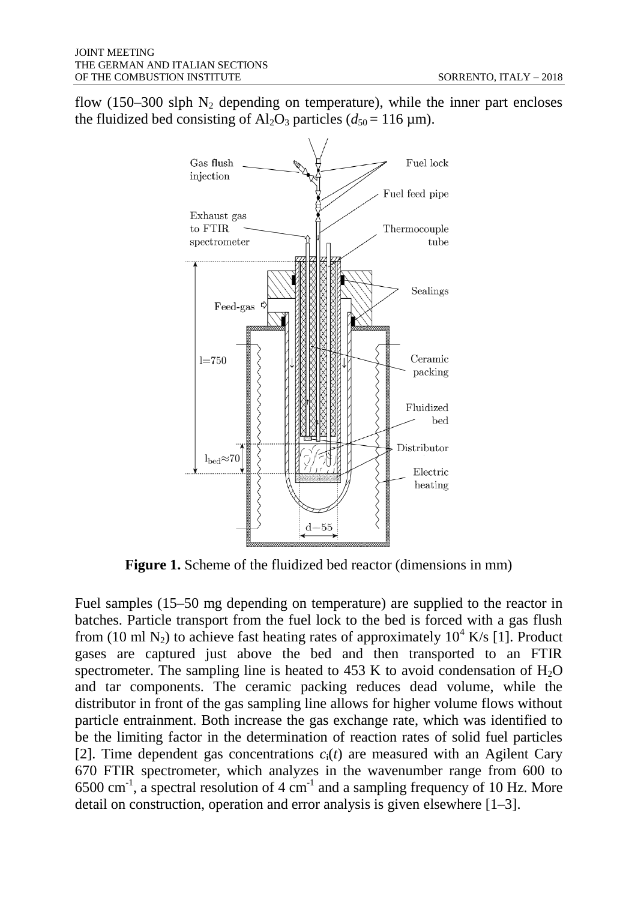flow (150–300 slph  $N_2$  depending on temperature), while the inner part encloses the fluidized bed consisting of  $Al_2O_3$  particles ( $d_{50} = 116$  µm).



**Figure 1.** Scheme of the fluidized bed reactor (dimensions in mm)

Fuel samples (15–50 mg depending on temperature) are supplied to the reactor in batches. Particle transport from the fuel lock to the bed is forced with a gas flush from (10 ml N<sub>2</sub>) to achieve fast heating rates of approximately  $10^4$  K/s [1]. Product gases are captured just above the bed and then transported to an FTIR spectrometer. The sampling line is heated to  $453 \text{ K}$  to avoid condensation of  $H<sub>2</sub>O$ and tar components. The ceramic packing reduces dead volume, while the distributor in front of the gas sampling line allows for higher volume flows without particle entrainment. Both increase the gas exchange rate, which was identified to be the limiting factor in the determination of reaction rates of solid fuel particles [2]. Time dependent gas concentrations  $c_i(t)$  are measured with an Agilent Cary 670 FTIR spectrometer, which analyzes in the wavenumber range from 600 to  $6500 \text{ cm}^3$ , a spectral resolution of 4 cm<sup>-1</sup> and a sampling frequency of 10 Hz. More detail on construction, operation and error analysis is given elsewhere [1–3].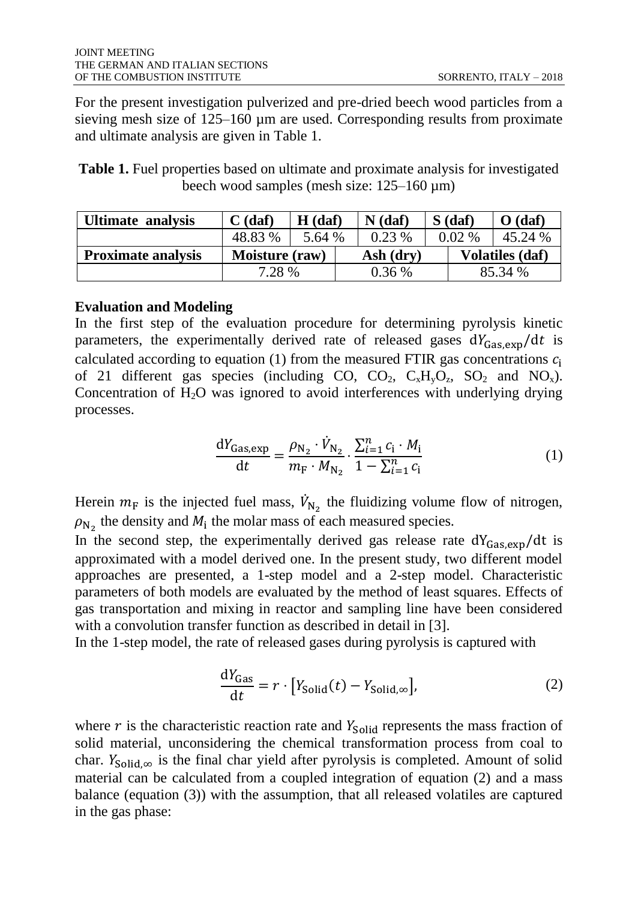For the present investigation pulverized and pre-dried beech wood particles from a sieving mesh size of 125–160 µm are used. Corresponding results from proximate and ultimate analysis are given in Table 1.

**Table 1.** Fuel properties based on ultimate and proximate analysis for investigated beech wood samples (mesh size: 125–160 µm)

| Ultimate analysis         | $C$ (daf)      | $H$ (daf) | $N$ (daf) |           | $S$ (daf) | $\mathbf{O}$ (daf)     |  |
|---------------------------|----------------|-----------|-----------|-----------|-----------|------------------------|--|
|                           | 48.83 %        | 5.64 %    | $0.23\%$  |           | $0.02\%$  | 45.24 %                |  |
| <b>Proximate analysis</b> | Moisture (raw) |           |           | Ash (dry) |           | <b>Volatiles (daf)</b> |  |
|                           | 7.28 %         |           | $0.36\%$  |           | 85.34 %   |                        |  |

#### **Evaluation and Modeling**

In the first step of the evaluation procedure for determining pyrolysis kinetic parameters, the experimentally derived rate of released gases  $dY_{\text{Gas,exp}}/dt$  is calculated according to equation (1) from the measured FTIR gas concentrations  $c_i$ of 21 different gas species (including CO,  $CO_2$ ,  $C_xH_yO_z$ ,  $SO_2$  and  $NO_x$ ). Concentration of  $H_2O$  was ignored to avoid interferences with underlying drying processes.

$$
\frac{dY_{\text{Gas,exp}}}{dt} = \frac{\rho_{N_2} \cdot \dot{V}_{N_2}}{m_{\text{F}} \cdot M_{N_2}} \cdot \frac{\sum_{i=1}^{n} c_i \cdot M_i}{1 - \sum_{i=1}^{n} c_i} \tag{1}
$$

Herein  $m_F$  is the injected fuel mass,  $\dot{V}_{N_2}$  the fluidizing volume flow of nitrogen,  $\rho_{N_2}$  the density and  $M_1$  the molar mass of each measured species.

In the second step, the experimentally derived gas release rate  $dY_{\text{Gas,exp}}/dt$  is approximated with a model derived one. In the present study, two different model approaches are presented, a 1-step model and a 2-step model. Characteristic parameters of both models are evaluated by the method of least squares. Effects of gas transportation and mixing in reactor and sampling line have been considered with a convolution transfer function as described in detail in [3].

In the 1-step model, the rate of released gases during pyrolysis is captured with

$$
\frac{dY_{\text{Gas}}}{dt} = r \cdot [Y_{\text{Solid}}(t) - Y_{\text{Solid}, \infty}], \tag{2}
$$

where  $r$  is the characteristic reaction rate and  $Y_{\text{solid}}$  represents the mass fraction of solid material, unconsidering the chemical transformation process from coal to char.  $Y_{\text{solid},\infty}$  is the final char yield after pyrolysis is completed. Amount of solid material can be calculated from a coupled integration of equation (2) and a mass balance (equation (3)) with the assumption, that all released volatiles are captured in the gas phase: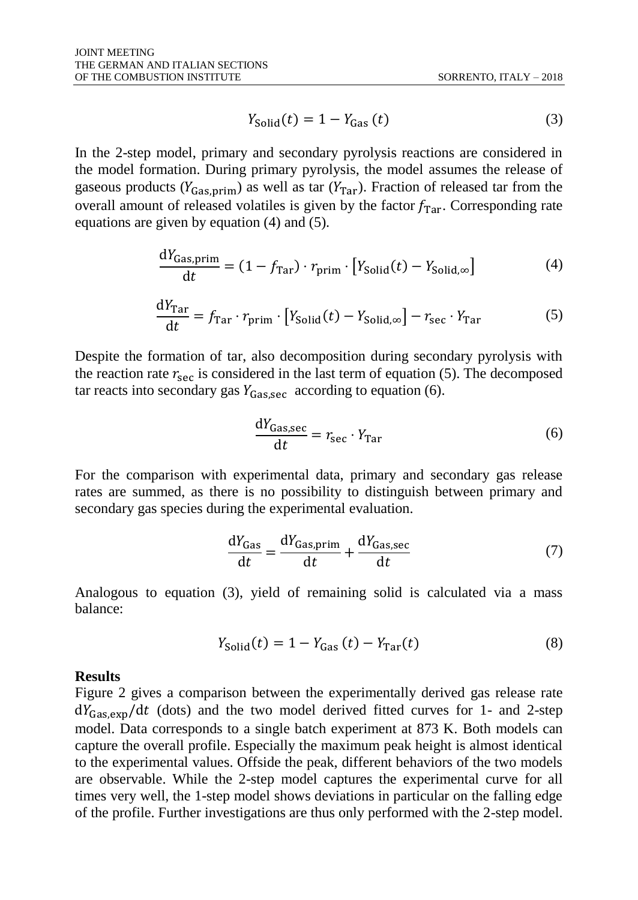$$
Y_{\text{Solid}}(t) = 1 - Y_{\text{Gas}}(t) \tag{3}
$$

In the 2-step model, primary and secondary pyrolysis reactions are considered in the model formation. During primary pyrolysis, the model assumes the release of gaseous products ( $Y_{\text{Gas},\text{prim}}$ ) as well as tar ( $Y_{\text{Tar}}$ ). Fraction of released tar from the overall amount of released volatiles is given by the factor  $f_{\text{Tar}}$ . Corresponding rate equations are given by equation (4) and (5).

$$
\frac{dY_{\text{Gas,prim}}}{dt} = (1 - f_{\text{Tar}}) \cdot r_{\text{prim}} \cdot \left[ Y_{\text{Solid}}(t) - Y_{\text{Solid}, \infty} \right] \tag{4}
$$

$$
\frac{dY_{\text{Tar}}}{dt} = f_{\text{Tar}} \cdot r_{\text{prim}} \cdot \left[ Y_{\text{Solid}}(t) - Y_{\text{Solid}, \infty} \right] - r_{\text{sec}} \cdot Y_{\text{Tar}} \tag{5}
$$

Despite the formation of tar, also decomposition during secondary pyrolysis with the reaction rate  $r_{\text{ser}}$  is considered in the last term of equation (5). The decomposed tar reacts into secondary gas  $Y_{\text{Gassec}}$  according to equation (6).

$$
\frac{dY_{\text{Gas,sec}}}{dt} = r_{\text{sec}} \cdot Y_{\text{Tar}} \tag{6}
$$

For the comparison with experimental data, primary and secondary gas release rates are summed, as there is no possibility to distinguish between primary and secondary gas species during the experimental evaluation.

$$
\frac{dY_{\text{Gas}}}{dt} = \frac{dY_{\text{Gas,prim}}}{dt} + \frac{dY_{\text{Gas,sec}}}{dt} \tag{7}
$$

Analogous to equation (3), yield of remaining solid is calculated via a mass balance:

$$
Y_{\text{Solid}}(t) = 1 - Y_{\text{Gas}}(t) - Y_{\text{Tar}}(t) \tag{8}
$$

#### **Results**

Figure 2 gives a comparison between the experimentally derived gas release rate  $dY_{\text{Gas,exn}}/dt$  (dots) and the two model derived fitted curves for 1- and 2-step model. Data corresponds to a single batch experiment at 873 K. Both models can capture the overall profile. Especially the maximum peak height is almost identical to the experimental values. Offside the peak, different behaviors of the two models are observable. While the 2-step model captures the experimental curve for all times very well, the 1-step model shows deviations in particular on the falling edge of the profile. Further investigations are thus only performed with the 2-step model.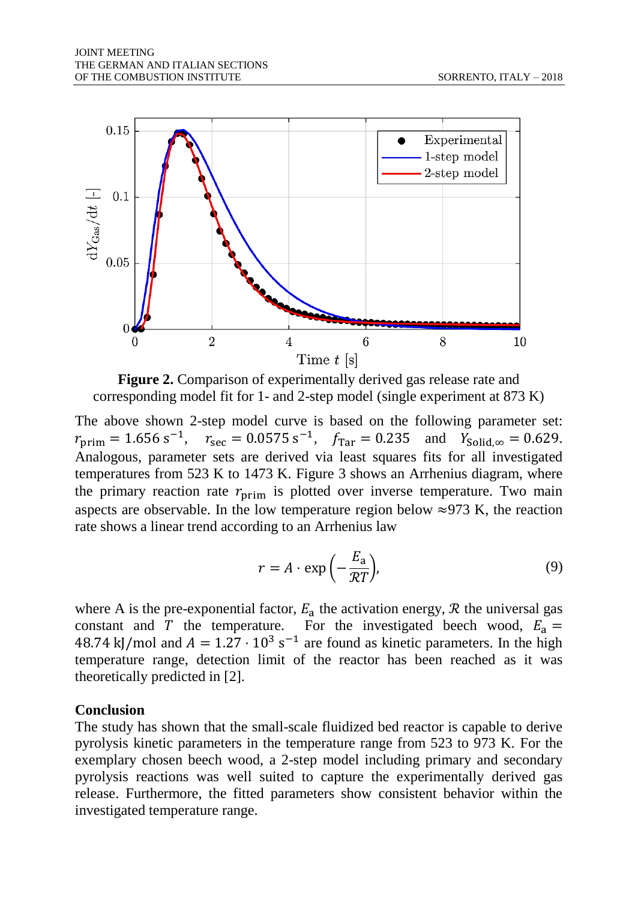

**Figure 2.** Comparison of experimentally derived gas release rate and corresponding model fit for 1- and 2-step model (single experiment at 873 K)

The above shown 2-step model curve is based on the following parameter set:  $r_{\text{prim}} = 1.656 \text{ s}^{-1}$ ,  $r_{\text{sec}} = 0.0575 \text{ s}^{-1}$ ,  $f_{\text{Tar}} = 0.235$  and  $Y_{\text{Solid},\infty} = 0.629$ . Analogous, parameter sets are derived via least squares fits for all investigated temperatures from 523 K to 1473 K. Figure 3 shows an Arrhenius diagram, where the primary reaction rate  $r_{\text{prim}}$  is plotted over inverse temperature. Two main aspects are observable. In the low temperature region below  $\approx$ 973 K, the reaction rate shows a linear trend according to an Arrhenius law

$$
r = A \cdot \exp\left(-\frac{E_a}{\mathcal{R}T}\right),\tag{9}
$$

where A is the pre-exponential factor,  $E_a$  the activation energy,  $R$  the universal gas constant and T the temperature. For the investigated beech wood,  $E_a =$ 48.74 kJ/mol and  $A = 1.27 \cdot 10^3$  s<sup>-1</sup> are found as kinetic parameters. In the high temperature range, detection limit of the reactor has been reached as it was theoretically predicted in [2].

#### **Conclusion**

The study has shown that the small-scale fluidized bed reactor is capable to derive pyrolysis kinetic parameters in the temperature range from 523 to 973 K. For the exemplary chosen beech wood, a 2-step model including primary and secondary pyrolysis reactions was well suited to capture the experimentally derived gas release. Furthermore, the fitted parameters show consistent behavior within the investigated temperature range.